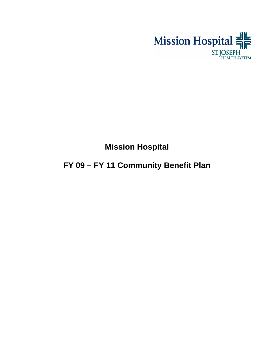

# **Mission Hospital**

# **FY 09 – FY 11 Community Benefit Plan**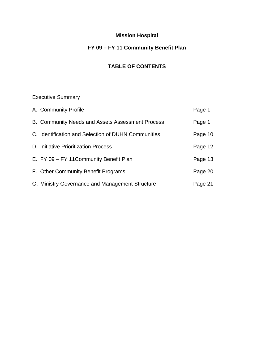# **Mission Hospital**

# **FY 09 – FY 11 Community Benefit Plan**

# **TABLE OF CONTENTS**

# Executive Summary

| A. Community Profile                                | Page 1  |
|-----------------------------------------------------|---------|
| B. Community Needs and Assets Assessment Process    | Page 1  |
| C. Identification and Selection of DUHN Communities | Page 10 |
| D. Initiative Prioritization Process                | Page 12 |
| E. FY 09 - FY 11 Community Benefit Plan             | Page 13 |
| F. Other Community Benefit Programs                 | Page 20 |
| G. Ministry Governance and Management Structure     | Page 21 |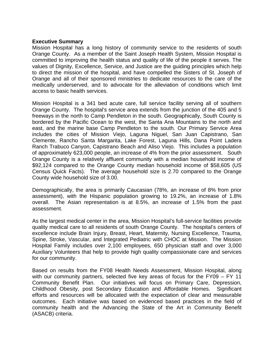#### **Executive Summary**

Mission Hospital has a long history of community service to the residents of south Orange County. As a member of the Saint Joseph Health System, Mission Hospital is committed to improving the health status and quality of life of the people it serves. The values of Dignity, Excellence, Service, and Justice are the guiding principles which help to direct the mission of the hospital, and have compelled the Sisters of St. Joseph of Orange and all of their sponsored ministries to dedicate resources to the care of the medically underserved, and to advocate for the alleviation of conditions which limit access to basic health services.

Mission Hospital is a 341 bed acute care, full service facility serving all of southern Orange County. The hospital's service area extends from the junction of the 405 and 5 freeways in the north to Camp Pendleton in the south. Geographically, South County is bordered by the Pacific Ocean to the west, the Santa Ana Mountains to the north and east, and the marine base Camp Pendleton to the south. Our Primary Service Area includes the cities of Mission Viejo, Laguna Niguel, San Juan Capistrano, San Clemente, Rancho Santa Margarita, Lake Forest, Laguna Hills, Dana Point Ladera Ranch Trabuco Canyon, Capistrano Beach and Aliso Viejo. This includes a population of approximately 623,000 people, an increase of 4% from the prior assessment. South Orange County is a relatively affluent community with a median household income of \$92,124 compared to the Orange County median household income of \$58,605 (US Census Quick Facts). The average household size is 2.70 compared to the Orange County wide household size of 3.00.

Demographically, the area is primarily Caucasian (78%, an increase of 8% from prior assessment), with the Hispanic population growing to 19.2%, an increase of 1.8% overall. The Asian representation is at 8.5%, an increase of 1.5% from the past assessment.

As the largest medical center in the area, Mission Hospital's full-service facilities provide quality medical care to all residents of south Orange County. The hospital's centers of excellence include Brain Injury, Breast, Heart, Maternity, Nursing Excellence, Trauma, Spine, Stroke, Vascular, and Integrated Pediatric with CHOC at Mission. The Mission Hospital Family includes over 2,100 employees, 650 physician staff and over 3,000 Auxiliary Volunteers that help to provide high quality compassionate care and services for our community.

Based on results from the FY08 Health Needs Assessment, Mission Hospital, along with our community partners, selected five key areas of focus for the FY09 – FY 11 Community Benefit Plan. Our initiatives will focus on Primary Care, Depression, Childhood Obesity, post Secondary Education and Affordable Homes. Significant efforts and resources will be allocated with the expectation of clear and measurable outcomes. Each initiative was based on evidenced based practices in the field of community health and the Advancing the State of the Art in Community Benefit (ASACB) criteria.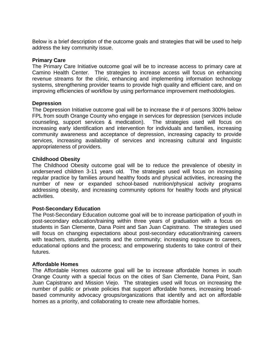Below is a brief description of the outcome goals and strategies that will be used to help address the key community issue.

### **Primary Care**

The Primary Care Initiative outcome goal will be to increase access to primary care at Camino Health Center. The strategies to increase access will focus on enhancing revenue streams for the clinic, enhancing and implementing information technology systems, strengthening provider teams to provide high quality and efficient care, and on improving efficiencies of workflow by using performance improvement methodologies.

#### **Depression**

The Depression Initiative outcome goal will be to increase the # of persons 300% below FPL from south Orange County who engage in services for depression (services include counseling, support services & medication). The strategies used will focus on increasing early identification and intervention for individuals and families, increasing community awareness and acceptance of depression, increasing capacity to provide services, increasing availability of services and increasing cultural and linguistic appropriateness of providers.

#### **Childhood Obesity**

The Childhood Obesity outcome goal will be to reduce the prevalence of obesity in underserved children 3-11 years old. The strategies used will focus on increasing regular practice by families around healthy foods and physical activities, increasing the number of new or expanded school-based nutrition/physical activity programs addressing obesity, and increasing community options for healthy foods and physical activities.

# **Post-Secondary Education**

The Post-Secondary Education outcome goal will be to increase participation of youth in post-secondary education/training within three years of graduation with a focus on students in San Clemente, Dana Point and San Juan Capistrano. The strategies used will focus on changing expectations about post-secondary education/training careers with teachers, students, parents and the community; increasing exposure to careers, educational options and the process; and empowering students to take control of their futures.

# **Affordable Homes**

The Affordable Homes outcome goal will be to increase affordable homes in south Orange County with a special focus on the cities of San Clemente, Dana Point, San Juan Capistrano and Mission Viejo. The strategies used will focus on increasing the number of public or private policies that support affordable homes, increasing broadbased community advocacy groups/organizations that identify and act on affordable homes as a priority, and collaborating to create new affordable homes.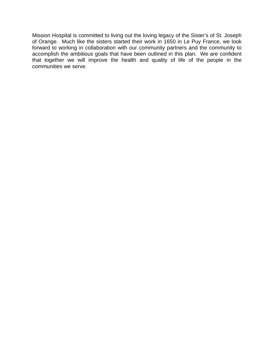Mission Hospital is committed to living out the loving legacy of the Sister's of St. Joseph of Orange. Much like the sisters started their work in 1650 in Le Puy France, we look forward to working in collaboration with our community partners and the community to accomplish the ambitious goals that have been outlined in this plan. We are confident that together we will improve the health and quality of life of the people in the communities we serve.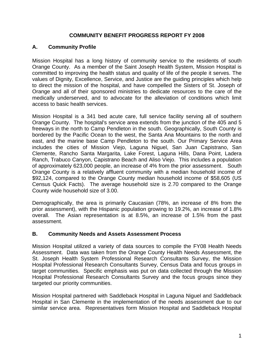# **COMMUNITY BENEFIT PROGRESS REPORT FY 2008**

# **A. Community Profile**

Mission Hospital has a long history of community service to the residents of south Orange County. As a member of the Saint Joseph Health System, Mission Hospital is committed to improving the health status and quality of life of the people it serves. The values of Dignity, Excellence, Service, and Justice are the guiding principles which help to direct the mission of the hospital, and have compelled the Sisters of St. Joseph of Orange and all of their sponsored ministries to dedicate resources to the care of the medically underserved, and to advocate for the alleviation of conditions which limit access to basic health services.

Mission Hospital is a 341 bed acute care, full service facility serving all of southern Orange County. The hospital's service area extends from the junction of the 405 and 5 freeways in the north to Camp Pendleton in the south. Geographically, South County is bordered by the Pacific Ocean to the west, the Santa Ana Mountains to the north and east, and the marine base Camp Pendleton to the south. Our Primary Service Area includes the cities of Mission Viejo, Laguna Niguel, San Juan Capistrano, San Clemente, Rancho Santa Margarita, Lake Forest, Laguna Hills, Dana Point, Ladera Ranch, Trabuco Canyon, Capistrano Beach and Aliso Viejo. This includes a population of approximately 623,000 people, an increase of 4% from the prior assessment. South Orange County is a relatively affluent community with a median household income of \$92,124, compared to the Orange County median household income of \$58,605 (US Census Quick Facts). The average household size is 2.70 compared to the Orange County wide household size of 3.00.

Demographically, the area is primarily Caucasian (78%, an increase of 8% from the prior assessment), with the Hispanic population growing to 19.2%, an increase of 1.8% overall. The Asian representation is at 8.5%, an increase of 1.5% from the past assessment.

# **B. Community Needs and Assets Assessment Process**

Mission Hospital utilized a variety of data sources to compile the FY08 Health Needs Assessment. Data was taken from the Orange County Health Needs Assessment, the St. Joseph Health System Professional Research Consultants Survey, the Mission Hospital Professional Research Consultants Survey, Census Data and focus groups in target communities. Specific emphasis was put on data collected through the Mission Hospital Professional Research Consultants Survey and the focus groups since they targeted our priority communities.

Mission Hospital partnered with Saddleback Hospital in Laguna Niguel and Saddleback Hospital in San Clemente in the implementation of the needs assessment due to our similar service area. Representatives form Mission Hospital and Saddleback Hospital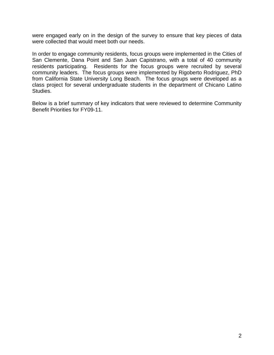were engaged early on in the design of the survey to ensure that key pieces of data were collected that would meet both our needs.

In order to engage community residents, focus groups were implemented in the Cities of San Clemente, Dana Point and San Juan Capistrano, with a total of 40 community residents participating. Residents for the focus groups were recruited by several community leaders. The focus groups were implemented by Rigoberto Rodriguez, PhD from California State University Long Beach. The focus groups were developed as a class project for several undergraduate students in the department of Chicano Latino Studies.

Below is a brief summary of key indicators that were reviewed to determine Community Benefit Priorities for FY09-11.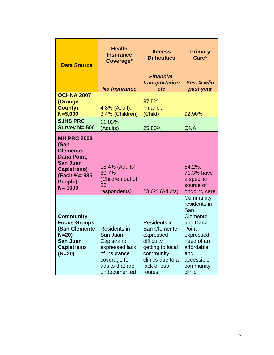| <b>Data Source</b>                                                                                                                | <b>Health</b><br><b>Insurance</b><br>Coverage*                                                                                                     | <b>Access</b><br><b>Difficulties</b>                                                                                                                                  | <b>Primary</b><br>Care*                                                                                                                                                |
|-----------------------------------------------------------------------------------------------------------------------------------|----------------------------------------------------------------------------------------------------------------------------------------------------|-----------------------------------------------------------------------------------------------------------------------------------------------------------------------|------------------------------------------------------------------------------------------------------------------------------------------------------------------------|
|                                                                                                                                   | <b>No Insurance</b>                                                                                                                                | Financial,<br>transportation<br>etc                                                                                                                                   | Yes-% w/in<br>past year                                                                                                                                                |
| <b>OCHNA 2007</b><br>(Orange<br><b>County)</b><br>$N = 5,000$                                                                     | 4.8% (Adult),<br>3.4% (Children)                                                                                                                   | 37.5%<br><b>Financial</b><br>(Child)                                                                                                                                  | 92.90%                                                                                                                                                                 |
| <b>SJHS PRC</b><br>Survey N= 500                                                                                                  | 11.03%<br>(Adults)                                                                                                                                 | 25.80%                                                                                                                                                                | <b>QNA</b>                                                                                                                                                             |
| <b>MH PRC 2008</b><br>(San<br>Clemente,<br>Dana Point,<br><b>San Juan</b><br>Capistrano)<br>(Each %= 935<br>People)<br>$N = 1000$ | 18.4% (Adults)<br>80.7%<br>(Children out of<br>22                                                                                                  |                                                                                                                                                                       | 64.2%,<br>71.3% have<br>a specific<br>source of                                                                                                                        |
| <b>Community</b><br><b>Focus Groups</b><br>(San Clemente<br>$N = 20$<br>San Juan<br><b>Capistrano</b><br>$(N=20)$                 | respondents)<br><b>Residents in</b><br>San Juan<br>Capistrano<br>expressed lack<br>of insurance<br>coverage for<br>adults that are<br>undocumented | 23.6% (Adults)<br><b>Residents in</b><br><b>San Clemente</b><br>expressed<br>difficulty<br>getting to local<br>community<br>clinics due to a<br>lack of bus<br>routes | ongoing care<br>Community<br>residents in<br>San<br>Clemente<br>and Dana<br>Point<br>expressed<br>need of an<br>affordable<br>and<br>accessible<br>community<br>clinic |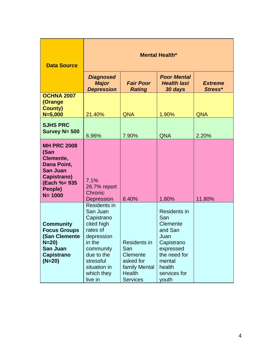| <b>Data Source</b>                                                                                                                | <b>Mental Health*</b>                                                                                                                                                            |                                                                                                                 |                                                                                                                                                   |                           |
|-----------------------------------------------------------------------------------------------------------------------------------|----------------------------------------------------------------------------------------------------------------------------------------------------------------------------------|-----------------------------------------------------------------------------------------------------------------|---------------------------------------------------------------------------------------------------------------------------------------------------|---------------------------|
|                                                                                                                                   | <b>Diagnosed</b><br><b>Major</b><br><b>Depression</b>                                                                                                                            | <b>Fair Poor</b><br><b>Rating</b>                                                                               | <b>Poor Mental</b><br><b>Health last</b><br>30 days                                                                                               | <b>Extreme</b><br>Stress* |
| <b>OCHNA 2007</b><br>(Orange<br><b>County)</b><br>$N = 5,000$                                                                     | 21.40%                                                                                                                                                                           | <b>QNA</b>                                                                                                      | 1.90%                                                                                                                                             | <b>QNA</b>                |
| <b>SJHS PRC</b><br>Survey $N = 500$                                                                                               | 6.96%                                                                                                                                                                            | 7.90%                                                                                                           | <b>QNA</b>                                                                                                                                        | 2.20%                     |
| <b>MH PRC 2008</b><br>(San<br>Clemente,<br>Dana Point,<br><b>San Juan</b><br>Capistrano)<br>(Each %= 935<br>People)<br>$N = 1000$ | 7.1%<br>26.7% report<br>Chronic<br><b>Depression</b>                                                                                                                             | 8.40%                                                                                                           | 1.80%                                                                                                                                             | 11.80%                    |
| <b>Community</b><br><b>Focus Groups</b><br>(San Clemente<br>$N = 20$<br>San Juan<br><b>Capistrano</b><br>(N=20)                   | <b>Residents in</b><br>San Juan<br>Capistrano<br>cited high<br>rates of<br>depression<br>in the<br>community<br>due to the<br>stressful<br>situation in<br>which they<br>live in | <b>Residents in</b><br>San<br><b>Clemente</b><br>asked for<br>family Mental<br><b>Health</b><br><b>Services</b> | <b>Residents in</b><br>San<br>Clemente<br>and San<br>Juan<br>Capistrano<br>expressed<br>the need for<br>mental<br>health<br>services for<br>youth |                           |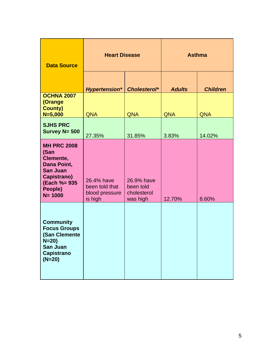| <b>Data Source</b>                                                                                                                | <b>Heart Disease</b>                                      |                                                    | <b>Asthma</b> |                 |
|-----------------------------------------------------------------------------------------------------------------------------------|-----------------------------------------------------------|----------------------------------------------------|---------------|-----------------|
|                                                                                                                                   | <b>Hypertension*</b>                                      | Cholesterol*                                       | <b>Adults</b> | <b>Children</b> |
| <b>OCHNA 2007</b><br>(Orange<br><b>County)</b><br>$N = 5,000$                                                                     | <b>QNA</b>                                                | <b>QNA</b>                                         | <b>QNA</b>    | <b>QNA</b>      |
| <b>SJHS PRC</b><br>Survey N= 500                                                                                                  | 27.35%                                                    | 31.85%                                             | 3.83%         | 14.02%          |
| <b>MH PRC 2008</b><br>(San<br>Clemente,<br>Dana Point,<br><b>San Juan</b><br>Capistrano)<br>(Each %= 935<br>People)<br>$N = 1000$ | 26.4% have<br>been told that<br>blood pressure<br>is high | 26.9% have<br>been told<br>cholesterol<br>was high | 12.70%        | 8.60%           |
| <b>Community</b><br><b>Focus Groups</b><br>(San Clemente<br>N=20)<br>San Juan<br><b>Capistrano</b><br>$(N=20)$                    |                                                           |                                                    |               |                 |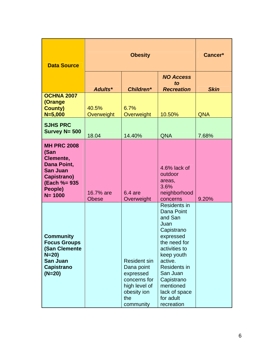| <b>Data Source</b>                                                                                                                | <b>Obesity</b>            |                                                                                                                    |                                                                                                                                                                                                                                              | Cancer*     |
|-----------------------------------------------------------------------------------------------------------------------------------|---------------------------|--------------------------------------------------------------------------------------------------------------------|----------------------------------------------------------------------------------------------------------------------------------------------------------------------------------------------------------------------------------------------|-------------|
|                                                                                                                                   | Adults*                   | Children*                                                                                                          | <b>NO Access</b><br>to<br><b>Recreation</b>                                                                                                                                                                                                  | <b>Skin</b> |
| <b>OCHNA 2007</b><br>(Orange<br><b>County)</b><br>$N = 5,000$                                                                     | 40.5%<br>Overweight       | 6.7%<br>Overweight                                                                                                 | 10.50%                                                                                                                                                                                                                                       | <b>QNA</b>  |
| <b>SJHS PRC</b><br>Survey $N = 500$                                                                                               | 18.04                     | 14.40%                                                                                                             | <b>QNA</b>                                                                                                                                                                                                                                   | 7.68%       |
| <b>MH PRC 2008</b><br>(San<br>Clemente,<br>Dana Point,<br><b>San Juan</b><br>Capistrano)<br>(Each %= 935<br>People)<br>$N = 1000$ | 16.7% are<br><b>Obese</b> | $6.4$ are<br>Overweight                                                                                            | 4.6% lack of<br>outdoor<br>areas,<br>3.6%<br>neighborhood<br>concerns                                                                                                                                                                        | 9.20%       |
| <b>Community</b><br><b>Focus Groups</b><br>(San Clemente<br>$N = 20$<br><b>San Juan</b><br><b>Capistrano</b><br>$(N=20)$          |                           | <b>Resident sin</b><br>Dana point<br>expressed<br>concerns for<br>high level of<br>obesity ion<br>the<br>community | Residents in<br>Dana Point<br>and San<br>Juan<br>Capistrano<br>expressed<br>the need for<br>activities to<br>keep youth<br>active.<br><b>Residents in</b><br>San Juan<br>Capistrano<br>mentioned<br>lack of space<br>for adult<br>recreation |             |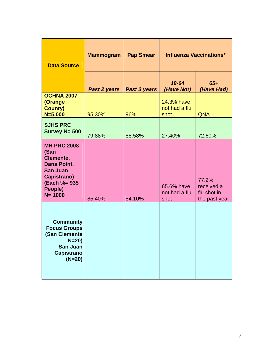| <b>Data Source</b>                                                                                                                | <b>Mammogram</b> | <b>Pap Smear</b> |                                     | <b>Influenza Vaccinations*</b>                      |
|-----------------------------------------------------------------------------------------------------------------------------------|------------------|------------------|-------------------------------------|-----------------------------------------------------|
|                                                                                                                                   | Past 2 years     | Past 3 years     | 18-64<br>(Have Not)                 | $65+$<br>(Have Had)                                 |
| <b>OCHNA 2007</b><br>(Orange<br><b>County)</b><br>$N = 5,000$                                                                     | 95.30%           | 96%              | 24.3% have<br>not had a flu<br>shot | <b>QNA</b>                                          |
| <b>SJHS PRC</b><br>Survey N= 500                                                                                                  | 79.88%           | 88.58%           | 27.40%                              | 72.60%                                              |
| <b>MH PRC 2008</b><br>(San<br>Clemente,<br>Dana Point,<br><b>San Juan</b><br>Capistrano)<br>(Each %= 935<br>People)<br>$N = 1000$ | 85.40%           | 84.10%           | 65.6% have<br>not had a flu<br>shot | 77.2%<br>received a<br>flu shot in<br>the past year |
| <b>Community</b><br><b>Focus Groups</b><br>(San Clemente<br>$N=20$ )<br><b>San Juan</b><br><b>Capistrano</b><br>$(N=20)$          |                  |                  |                                     |                                                     |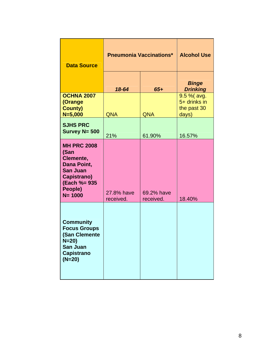| <b>Data Source</b>                                                                                                                | <b>Pneumonia Vaccinations*</b> |                         | <b>Alcohol Use</b>                                  |  |
|-----------------------------------------------------------------------------------------------------------------------------------|--------------------------------|-------------------------|-----------------------------------------------------|--|
|                                                                                                                                   | 18-64                          | $65+$                   | <b>Binge</b><br><b>Drinking</b>                     |  |
| <b>OCHNA 2007</b><br>(Orange<br><b>County)</b><br>$N = 5,000$                                                                     | <b>QNA</b>                     | <b>QNA</b>              | 9.5 % (avg.<br>5+ drinks in<br>the past 30<br>days) |  |
| <b>SJHS PRC</b><br>Survey $N = 500$                                                                                               | 21%                            | 61.90%                  | 16.57%                                              |  |
| <b>MH PRC 2008</b><br>(San<br>Clemente,<br>Dana Point,<br><b>San Juan</b><br>Capistrano)<br>(Each %= 935<br>People)<br>$N = 1000$ | 27.8% have<br>received.        | 69.2% have<br>received. | 18.40%                                              |  |
| <b>Community</b><br><b>Focus Groups</b><br>(San Clemente<br>$N = 20$<br><b>San Juan</b><br><b>Capistrano</b><br>$(N=20)$          |                                |                         |                                                     |  |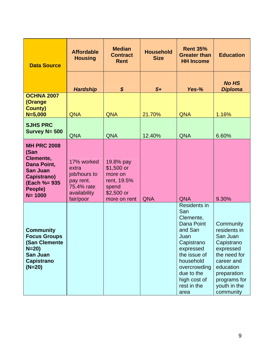| <b>Data Source</b>                                                                                                                 | <b>Affordable</b><br><b>Housing</b>                                                         | <b>Median</b><br><b>Contract</b><br><b>Rent</b>                                            | <b>Household</b><br><b>Size</b> | <b>Rent 35%</b><br><b>Greater than</b><br><b>HH Income</b>                                                                                                                                     | <b>Education</b>                                                                                                                                                        |
|------------------------------------------------------------------------------------------------------------------------------------|---------------------------------------------------------------------------------------------|--------------------------------------------------------------------------------------------|---------------------------------|------------------------------------------------------------------------------------------------------------------------------------------------------------------------------------------------|-------------------------------------------------------------------------------------------------------------------------------------------------------------------------|
|                                                                                                                                    | <b>Hardship</b>                                                                             | $\boldsymbol{\mathsf{S}}$                                                                  | $5+$                            | Yes-%                                                                                                                                                                                          | <b>No HS</b><br><b>Diploma</b>                                                                                                                                          |
| <b>OCHNA 2007</b><br>(Orange<br><b>County)</b><br>$N = 5,000$                                                                      | <b>QNA</b>                                                                                  | <b>QNA</b>                                                                                 | 21.70%                          | <b>QNA</b>                                                                                                                                                                                     | 1.16%                                                                                                                                                                   |
| <b>SJHS PRC</b><br>Survey N= 500                                                                                                   | <b>QNA</b>                                                                                  | <b>QNA</b>                                                                                 | 12.40%                          | <b>QNA</b>                                                                                                                                                                                     | 6.60%                                                                                                                                                                   |
| <b>MH PRC 2008</b><br>(San<br>Clemente,<br>Dana Point,<br><b>San Juan</b><br>Capistrano)<br>(Each %= 935)<br>People)<br>$N = 1000$ | 17% worked<br>extra<br>job/hours to<br>pay rent.<br>75.4% rate<br>availability<br>fair/poor | 19.8% pay<br>$$1,500$ or<br>more on<br>rent, 19.5%<br>spend<br>$$2,500$ or<br>more on rent | <b>QNA</b>                      | <b>QNA</b>                                                                                                                                                                                     | 9.30%                                                                                                                                                                   |
| <b>Community</b><br><b>Focus Groups</b><br>(San Clemente<br>$N = 20$<br><b>San Juan</b><br><b>Capistrano</b><br>$(N=20)$           |                                                                                             |                                                                                            |                                 | Residents in<br>San<br>Clemente,<br>Dana Point<br>and San<br>Juan<br>Capistrano<br>expressed<br>the issue of<br>household<br>overcrowding<br>due to the<br>high cost of<br>rest in the<br>area | Community<br>residents in<br>San Juan<br>Capistrano<br>expressed<br>the need for<br>career and<br>education<br>preparation<br>programs for<br>youth in the<br>community |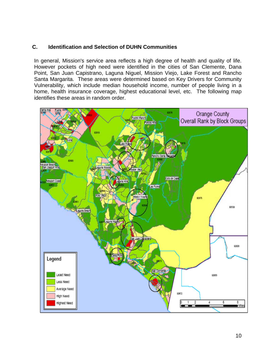# **C. Identification and Selection of DUHN Communities**

In general, Mission's service area reflects a high degree of health and quality of life. However pockets of high need were identified in the cities of San Clemente, Dana Point, San Juan Capistrano, Laguna Niguel, Mission Viejo, Lake Forest and Rancho Santa Margarita. These areas were determined based on Key Drivers for Community Vulnerability, which include median household income, number of people living in a home, health insurance coverage, highest educational level, etc. The following map identifies these areas in random order.

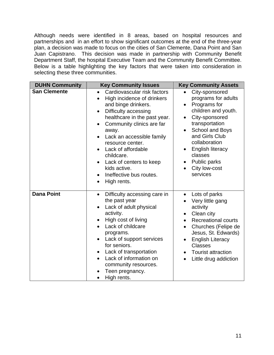Although needs were identified in 8 areas, based on hospital resources and partnerships and in an effort to show significant outcomes at the end of the three-year plan, a decision was made to focus on the cities of San Clemente, Dana Point and San Juan Capistrano. This decision was made in partnership with Community Benefit Department Staff, the hospital Executive Team and the Community Benefit Committee. Below is a table highlighting the key factors that were taken into consideration in selecting these three communities.

| <b>DUHN Community</b> | <b>Key Community Issues</b>                                                                                                                                                                                                                                                                                                                                                        | <b>Key Community Assets</b>                                                                                                                                                                                                                                                                                   |
|-----------------------|------------------------------------------------------------------------------------------------------------------------------------------------------------------------------------------------------------------------------------------------------------------------------------------------------------------------------------------------------------------------------------|---------------------------------------------------------------------------------------------------------------------------------------------------------------------------------------------------------------------------------------------------------------------------------------------------------------|
| <b>San Clemente</b>   | Cardiovascular risk factors<br>High incidence of drinkers<br>$\bullet$<br>and binge drinkers.<br>Difficulty accessing<br>healthcare in the past year.<br>Community clinics are far<br>away.<br>Lack an accessible family<br>resource center.<br>Lack of affordable<br>childcare.<br>Lack of centers to keep<br>kids active.<br>Ineffective bus routes.<br>High rents.<br>$\bullet$ | City-sponsored<br>$\bullet$<br>programs for adults<br>Programs for<br>$\bullet$<br>children and youth.<br>City-sponsored<br>$\bullet$<br>transportation<br>School and Boys<br>and Girls Club<br>collaboration<br><b>English literacy</b><br>classes<br>Public parks<br>City low-cost<br>$\bullet$<br>services |
| <b>Dana Point</b>     | Difficulty accessing care in<br>$\bullet$<br>the past year<br>Lack of adult physical<br>activity.<br>High cost of living<br>Lack of childcare<br>programs.<br>Lack of support services<br>for seniors.<br>Lack of transportation<br>٠<br>Lack of information on<br>community resources.<br>Teen pregnancy.<br>High rents.                                                          | Lots of parks<br>$\bullet$<br>Very little gang<br>activity<br>Clean city<br><b>Recreational courts</b><br>$\bullet$<br>Churches (Felipe de<br>$\bullet$<br>Jesus, St. Edwards)<br><b>English Literacy</b><br>$\bullet$<br><b>Classes</b><br><b>Tourist attraction</b><br>Little drug addiction<br>$\bullet$   |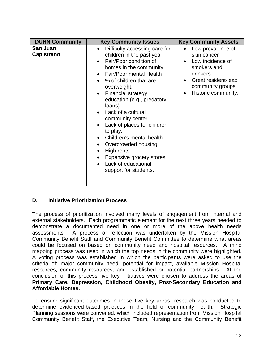| <b>DUHN Community</b>         | <b>Key Community Issues</b>                                                                                                                                                                                                                                                                                                                                                                                                                                                                                                                   | <b>Key Community Assets</b>                                                                                                                                      |
|-------------------------------|-----------------------------------------------------------------------------------------------------------------------------------------------------------------------------------------------------------------------------------------------------------------------------------------------------------------------------------------------------------------------------------------------------------------------------------------------------------------------------------------------------------------------------------------------|------------------------------------------------------------------------------------------------------------------------------------------------------------------|
| San Juan<br><b>Capistrano</b> | Difficulty accessing care for<br>$\bullet$<br>children in the past year.<br>Fair/Poor condition of<br>homes in the community.<br>Fair/Poor mental Health<br>% of children that are<br>overweight.<br><b>Financial strategy</b><br>$\bullet$<br>education (e.g., predatory<br>loans).<br>Lack of a cultural<br>community center.<br>Lack of places for children<br>to play.<br>Children's mental health.<br>Overcrowded housing<br>High rents.<br><b>Expensive grocery stores</b><br>$\bullet$<br>Lack of educational<br>support for students. | Low prevalence of<br>skin cancer<br>Low incidence of<br>smokers and<br>drinkers.<br>Great resident-lead<br>$\bullet$<br>community groups.<br>Historic community. |

# **D. Initiative Prioritization Process**

The process of prioritization involved many levels of engagement from internal and external stakeholders. Each programmatic element for the next three years needed to demonstrate a documented need in one or more of the above health needs assessments. A process of reflection was undertaken by the Mission Hospital Community Benefit Staff and Community Benefit Committee to determine what areas could be focused on based on community need and hospital resources. A mind mapping process was used in which the top needs in the community were highlighted. A voting process was established in which the participants were asked to use the criteria of: major community need, potential for impact, available Mission Hospital resources, community resources, and established or potential partnerships. At the conclusion of this process five key initiatives were chosen to address the areas of **Primary Care, Depression, Childhood Obesity, Post-Secondary Education and Affordable Homes.** 

To ensure significant outcomes in these five key areas, research was conducted to determine evidenced-based practices in the field of community health. Strategic Planning sessions were convened, which included representation from Mission Hospital Community Benefit Staff, the Executive Team, Nursing and the Community Benefit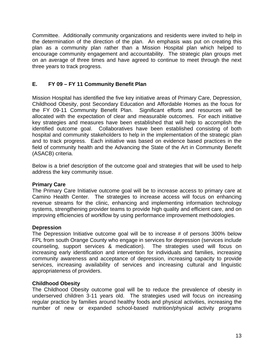Committee. Additionally community organizations and residents were invited to help in the determination of the direction of the plan. An emphasis was put on creating this plan as a community plan rather than a Mission Hospital plan which helped to encourage community engagement and accountability. The strategic plan groups met on an average of three times and have agreed to continue to meet through the next three years to track progress.

# **E. FY 09 – FY 11 Community Benefit Plan**

Mission Hospital has identified the five key initiative areas of Primary Care, Depression, Childhood Obesity, post Secondary Education and Affordable Homes as the focus for the FY 09-11 Community Benefit Plan. Significant efforts and resources will be allocated with the expectation of clear and measurable outcomes. For each initiative key strategies and measures have been established that will help to accomplish the identified outcome goal. Collaboratives have been established consisting of both hospital and community stakeholders to help in the implementation of the strategic plan and to track progress. Each initiative was based on evidence based practices in the field of community health and the Advancing the State of the Art in Community Benefit (ASACB) criteria.

Below is a brief description of the outcome goal and strategies that will be used to help address the key community issue.

# **Primary Care**

The Primary Care Initiative outcome goal will be to increase access to primary care at Camino Health Center. The strategies to increase access will focus on enhancing revenue streams for the clinic, enhancing and implementing information technology systems, strengthening provider teams to provide high quality and efficient care, and on improving efficiencies of workflow by using performance improvement methodologies.

# **Depression**

The Depression Initiative outcome goal will be to increase # of persons 300% below FPL from south Orange County who engage in services for depression (services include counseling, support services & medication). The strategies used will focus on increasing early identification and intervention for individuals and families, increasing community awareness and acceptance of depression, increasing capacity to provide services, increasing availability of services and increasing cultural and linguistic appropriateness of providers.

# **Childhood Obesity**

The Childhood Obesity outcome goal will be to reduce the prevalence of obesity in underserved children 3-11 years old. The strategies used will focus on increasing regular practice by families around healthy foods and physical activities, increasing the number of new or expanded school-based nutrition/physical activity programs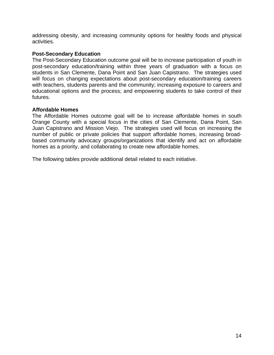addressing obesity, and increasing community options for healthy foods and physical activities.

### **Post-Secondary Education**

The Post-Secondary Education outcome goal will be to increase participation of youth in post-secondary education/training within three years of graduation with a focus on students in San Clemente, Dana Point and San Juan Capistrano. The strategies used will focus on changing expectations about post-secondary education/training careers with teachers, students parents and the community; increasing exposure to careers and educational options and the process; and empowering students to take control of their futures.

#### **Affordable Homes**

The Affordable Homes outcome goal will be to increase affordable homes in south Orange County with a special focus in the cities of San Clemente, Dana Point, San Juan Capistrano and Mission Viejo. The strategies used will focus on increasing the number of public or private policies that support affordable homes, increasing broadbased community advocacy groups/organizations that identify and act on affordable homes as a priority, and collaborating to create new affordable homes.

The following tables provide additional detail related to each initiative.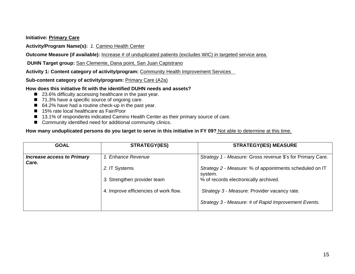**Initiative: Primary Care** 

**Activity/Program Name(s):** *1.* Camino Health Center

**Outcome Measure (if available):** Increase # of unduplicated patients (excludes WIC) in targeted service area.

 **DUHN Target group:** San Clemente, Dana point, San Juan Capistrano

**Activity 1: Content category of activity/program:** Community Health Improvement Services

Sub-content category of activity/program: **Primary Care (A2a)** 

#### **How does this initiative fit with the identified DUHN needs and assets?**

- 23.6% difficulty accessing healthcare in the past year.
- 71.3% have a specific source of ongoing care.
- 64.2% have had a routine check-up in the past year.
- 15% rate local healthcare as Fair/Poor
- 13.1% of respondents indicated Camino Health Center as their primary source of care.
- Community identified need for additional community clinics.

| <b>GOAL</b>                                | <b>STRATEGY(IES)</b>                  | <b>STRATEGY(IES) MEASURE</b>                               |
|--------------------------------------------|---------------------------------------|------------------------------------------------------------|
| <b>Increase access to Primary</b><br>Care. | 1. Enhance Revenue                    | Strategy 1 - Measure: Gross revenue \$'s for Primary Care. |
|                                            | 2. IT Systems                         | Strategy 2 - Measure: % of appointments scheduled on IT    |
|                                            | 3. Strengthen provider team           | system.<br>% of records electronically archived.           |
|                                            |                                       |                                                            |
|                                            | 4. Improve efficiencies of work flow. | Strategy 3 - Measure: Provider vacancy rate.               |
|                                            |                                       | Strategy 3 - Measure: # of Rapid Improvement Events.       |
|                                            |                                       |                                                            |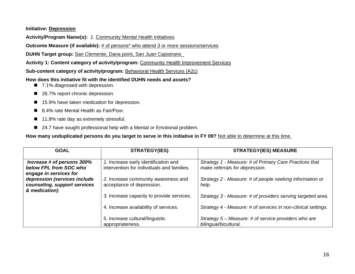#### **Initiative: Depression**

**Activity/Program Name(s):** *1.* Community Mental Health Initiatives

**Outcome Measure (if available):** # of persons\* who attend 3 or more sessions/services

**DUHN Target group:** San Clemente, Dana point, San Juan Capistrano\_

**Activity 1: Content category of activity/program:** Community Health Improvement Services

**Sub-content category of activity/program: Behavioral Health Services (A2c)** 

**How does this initiative fit with the identified DUHN needs and assets?** 

- 7.1% diagnosed with depression.
- 26.7% report chronic depression.
- 15.9% have taken medication for depression.
- 8.4% rate Mental Health as Fair/Poor.
- 11.8% rate day as extremely stressful.
- 24.7 have sought professional help with a Mental or Emotional problem.

| <b>GOAL</b>                                                  | <b>STRATEGY(IES)</b>                                             | <b>STRATEGY(IES) MEASURE</b>                                                  |
|--------------------------------------------------------------|------------------------------------------------------------------|-------------------------------------------------------------------------------|
| Increase # of persons 300%                                   | 1. Increase early identification and                             | Strategy 1 - Measure: # of Primary Care Practices that                        |
| below FPL from SOC who<br>engage in services for             | intervention for individuals and families.                       | make referrals for depression.                                                |
| depression (services include<br>counseling, support services | 2. Increase community awareness and<br>acceptance of depression. | Strategy 2 - Measure: # of people seeking information or<br>help.             |
| & medication)                                                | 3. Increase capacity to provide services.                        | Strategy 3 - Measure: # of providers serving targeted area.                   |
|                                                              | 4. Increase availability of services.                            | Strategy 4 - Measure: # of services in non-clinical settings.                 |
|                                                              | 5. Increase cultural/linguistic<br>appropriateness.              | Strategy 5 - Measure: # of service providers who are<br>bilingual/bicultural. |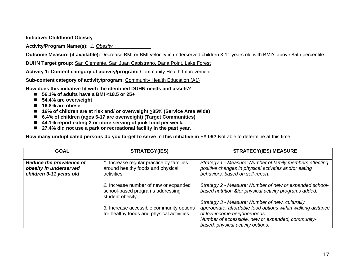**Initiative: Childhood Obesity**

**Activity/Program Name(s):** *1. Obesity*\_\_\_\_\_\_\_\_\_\_\_\_\_\_

**Outcome Measure (if available):** Decrease BMI or BMI velocity in underserved children 3-11 years old with BMI's above 85th percentile.

**DUHN Target group:** San Clemente, San Juan Capistrano, Dana Point, Lake Forest

**Activity 1: Content category of activity/program:** Community Health Improvement\_\_\_

**Sub-content category of activity/program: Community Health Education (A1)** 

**How does this initiative fit with the identified DUHN needs and assets?** 

- **56.1% of adults have a BMI <18.5 or 25+**
- 54.4% are overweight
- 16.8% are obese
- 16% of children are at risk and/ or overweight <u>></u>85% (Service Area Wide)
- **6.4% of children (ages 6-17 are overweight) (Target Communities)**
- **44.1% report eating 3 or more serving of junk food per week.**
- 27.4% did not use a park or recreational facility in the past year.

| <b>GOAL</b>                                                                   | <b>STRATEGY(IES)</b>                                                                          | <b>STRATEGY(IES) MEASURE</b>                                                                                                                                                                                                              |
|-------------------------------------------------------------------------------|-----------------------------------------------------------------------------------------------|-------------------------------------------------------------------------------------------------------------------------------------------------------------------------------------------------------------------------------------------|
| Reduce the prevalence of<br>obesity in underserved<br>children 3-11 years old | 1. Increase regular practice by families<br>around healthy foods and physical<br>activities.  | Strategy 1 - Measure: Number of family members effecting<br>positive changes in physical activities and/or eating<br>behaviors, based on self-report.                                                                                     |
|                                                                               | 2. Increase number of new or expanded<br>school-based programs addressing<br>student obesity. | Strategy 2 - Measure: Number of new or expanded school-<br>based nutrition &/or physical activity programs added.                                                                                                                         |
|                                                                               | 3. Increase accessible community options<br>for healthy foods and physical activities.        | Strategy 3 - Measure: Number of new, culturally<br>appropriate, affordable food options within walking distance<br>of low-income neighborhoods.<br>Number of accessible, new or expanded, community-<br>based, physical activity options. |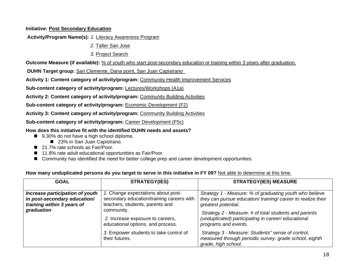### **Initiative: Post Secondary Education**

 **Activity/Program Name(s):** *1.* Literacy Awareness Program

- *2.* Taller San Jose
	- *3.* Project Search

**Outcome Measure (if available):** % of youth who start post-secondary education or training within 3 years after graduation.

 **DUHN Target group:** San Clemente, Dana point, San Juan Capistrano\_

**Activity 1: Content category of activity/program:** Community Health Improvement Services

**Sub-content category of activity/program:** Lectures/Workshops (A1a)

Activity 2: Content category of activity/program: Community Building Activities

**Sub-content category of activity/program: Economic Development (F2)** 

**Activity 3: Content category of activity/program:** Community Building Activities

**Sub-content category of activity/program: Career Development (F5c)** 

**How does this initiative fit with the identified DUHN needs and assets?** 

- 9.30% do not have a high school diploma.
	- 23% in San Juan Capistrano.
- 21.7% rate schools as Fair/Poor.
- 11.8% rate adult educational opportunities as Fair/Poor.
- Community has identified the need for better college prep and career development opportunities.

| How many unduplicated persons do you target to serve in this initiative in FY 09? Not able to determine at this time. |  |
|-----------------------------------------------------------------------------------------------------------------------|--|
|-----------------------------------------------------------------------------------------------------------------------|--|

| <b>GOAL</b>                                                                                                 | <b>STRATEGY(IES)</b>                                                                                                                                                                                      | <b>STRATEGY(IES) MEASURE</b>                                                                                                                                                                                                                                                        |
|-------------------------------------------------------------------------------------------------------------|-----------------------------------------------------------------------------------------------------------------------------------------------------------------------------------------------------------|-------------------------------------------------------------------------------------------------------------------------------------------------------------------------------------------------------------------------------------------------------------------------------------|
| Increase participation of youth<br>in post-secondary education/<br>training within 3 years of<br>graduation | 1. Change expectations about post-<br>secondary education/training careers with<br>teachers, students, parents and<br>community.<br>2. Increase exposure to careers,<br>educational options, and process. | Strategy 1 - Measure: % of graduating youth who believe<br>they can pursue education/training/career to realize their<br>greatest potential.<br>Strategy 2 - Measure: # of total students and parents<br>(unduplicated) participating in career/educational<br>programs and events. |
|                                                                                                             | 3. Empower students to take control of<br>their futures.                                                                                                                                                  | Strategy 3 - Measure: Students" sense of control,<br>measured through periodic survey: grade school, eighth<br>grade, high school.                                                                                                                                                  |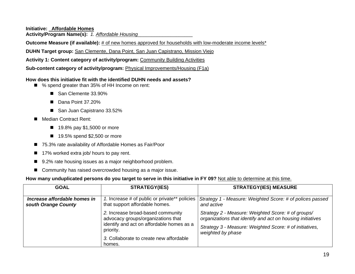**Initiative:**  \_ **Affordable Homes**

**Activity/Program Name(s):** *1. Affordable Housing*\_\_\_\_\_\_\_\_\_\_\_\_\_\_\_\_\_\_\_\_

**Outcome Measure (if available):** # of new homes approved for households with low-moderate income levels<sup>\*</sup>

**DUHN Target group:** San Clemente, Dana Point, San Juan Capistrano, Mission Viejo

**Activity 1: Content category of activity/program:** Community Building Activities

**Sub-content category of activity/program:** Physical Improvements/Housing (F1a)

#### **How does this initiative fit with the identified DUHN needs and assets?**

- % spend greater than 35% of HH Income on rent:
	- San Clemente 33.90%
	- Dana Point 37,20%
	- San Juan Capistrano 33.52%
- Median Contract Rent:
	- 19.8% pay \$1,5000 or more
	- 19.5% spend \$2,500 or more
- 75.3% rate availability of Affordable Homes as Fair/Poor
- 17% worked extra job/ hours to pay rent.
- 9.2% rate housing issues as a major neighborhood problem.
- Community has raised overcrowded housing as a major issue.

| <b>GOAL</b>                                         | <b>STRATEGY(IES)</b>                                                                                                                                                                   | <b>STRATEGY(IES) MEASURE</b>                                                                                                                                                                     |
|-----------------------------------------------------|----------------------------------------------------------------------------------------------------------------------------------------------------------------------------------------|--------------------------------------------------------------------------------------------------------------------------------------------------------------------------------------------------|
| Increase affordable homes in<br>south Orange County | 1. Increase # of public or private** policies<br>that support affordable homes.                                                                                                        | Strategy 1 - Measure: Weighted Score: # of polices passed<br>and active                                                                                                                          |
|                                                     | 2. Increase broad-based community<br>advocacy groups/organizations that<br>identify and act on affordable homes as a<br>priority.<br>3. Collaborate to create new affordable<br>homes. | Strategy 2 - Measure: Weighted Score: # of groups/<br>organizations that identify and act on housing initiatives<br>Strategy 3 - Measure: Weighted Score: # of initiatives,<br>weighted by phase |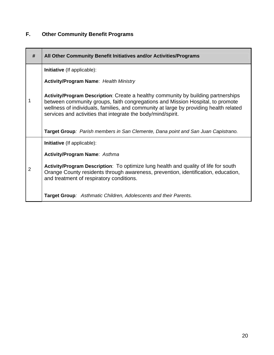# **F. Other Community Benefit Programs**

| #              | All Other Community Benefit Initiatives and/or Activities/Programs                                                                                                                                                                                                                                                           |
|----------------|------------------------------------------------------------------------------------------------------------------------------------------------------------------------------------------------------------------------------------------------------------------------------------------------------------------------------|
|                | Initiative (If applicable):                                                                                                                                                                                                                                                                                                  |
|                | <b>Activity/Program Name: Health Ministry</b>                                                                                                                                                                                                                                                                                |
| 1              | Activity/Program Description: Create a healthy community by building partnerships<br>between community groups, faith congregations and Mission Hospital, to promote<br>wellness of individuals, families, and community at large by providing health related<br>services and activities that integrate the body/mind/spirit. |
|                | Target Group: Parish members in San Clemente, Dana point and San Juan Capistrano.                                                                                                                                                                                                                                            |
|                | <b>Initiative</b> (If applicable):                                                                                                                                                                                                                                                                                           |
|                | <b>Activity/Program Name: Asthma</b>                                                                                                                                                                                                                                                                                         |
| $\overline{2}$ | Activity/Program Description: To optimize lung health and quality of life for south<br>Orange County residents through awareness, prevention, identification, education,<br>and treatment of respiratory conditions.                                                                                                         |
|                | Target Group: Asthmatic Children, Adolescents and their Parents.                                                                                                                                                                                                                                                             |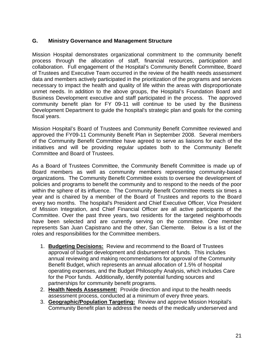# **G. Ministry Governance and Management Structure**

Mission Hospital demonstrates organizational commitment to the community benefit process through the allocation of staff, financial resources, participation and collaboration. Full engagement of the Hospital's Community Benefit Committee, Board of Trustees and Executive Team occurred in the review of the health needs assessment data and members actively participated in the prioritization of the programs and services necessary to impact the health and quality of life within the areas with disproportionate unmet needs. In addition to the above groups, the Hospital's Foundation Board and Business Development executive and staff participated in the process. The approved community benefit plan for FY 09-11 will continue to be used by the Business Development Department to guide the hospital's strategic plan and goals for the coming fiscal years.

Mission Hospital's Board of Trustees and Community Benefit Committee reviewed and approved the FY09-11 Community Benefit Plan in September 2008. Several members of the Community Benefit Committee have agreed to serve as liaisons for each of the initiatives and will be providing regular updates both to the Community Benefit Committee and Board of Trustees.

As a Board of Trustees Committee, the Community Benefit Committee is made up of Board members as well as community members representing community-based organizations. The Community Benefit Committee exists to oversee the development of policies and programs to benefit the community and to respond to the needs of the poor within the sphere of its influence. The Community Benefit Committee meets six times a year and is chaired by a member of the Board of Trustees and reports to the Board every two months. The hospital's President and Chief Executive Officer, Vice President of Mission Integration, and Chief Financial Officer are all active participants of the Committee. Over the past three years, two residents for the targeted neighborhoods have been selected and are currently serving on the committee. One member represents San Juan Capistrano and the other, San Clemente. Below is a list of the roles and responsibilities for the Committee members.

- 1. **Budgeting Decisions:** Review and recommend to the Board of Trustees approval of budget development and disbursement of funds. This includes annual reviewing and making recommendations for approval of the Community Benefit Budget, which represents an annual allocation of 1.5% of hospital operating expenses, and the Budget Philosophy Analysis, which includes Care for the Poor funds. Additionally, identify potential funding sources and partnerships for community benefit programs.
- 2. **Health Needs Assessment:** Provide direction and input to the health needs assessment process, conducted at a minimum of every three years.
- 3. **Geographic/Population Targeting:** Review and approve Mission Hospital's Community Benefit plan to address the needs of the medically underserved and